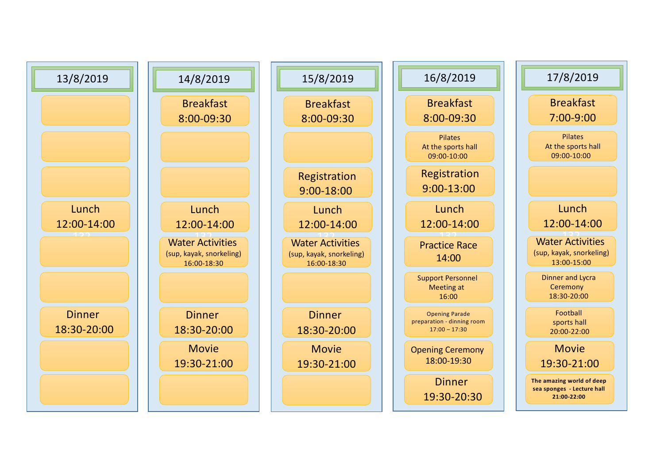